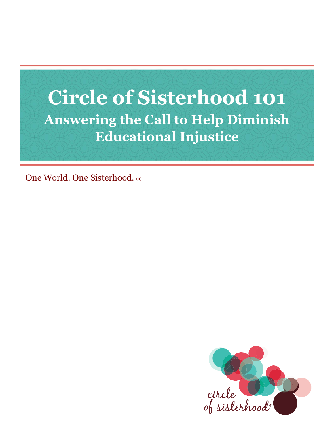

One World. One Sisterhood. ®

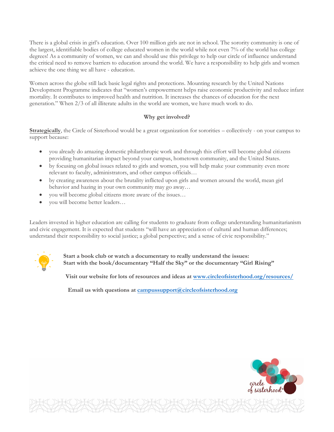There is a global crisis in girl's education. Over 100 million girls are not in school. The sorority community is one of the largest, identifiable bodies of college educated women in the world while not even 7% of the world has college degrees! As a community of women, we can and should use this privilege to help our circle of influence understand the critical need to remove barriers to education around the world. We have a responsibility to help girls and women achieve the one thing we all have - education.

Women across the globe still lack basic legal rights and protections. Mounting research by the United Nations Development Programme indicates that "women's empowerment helps raise economic productivity and reduce infant mortality. It contributes to improved health and nutrition. It increases the chances of education for the next generation." When 2/3 of all illiterate adults in the world are women, we have much work to do.

## **Why get involved?**

**Strategically**, the Circle of Sisterhood would be a great organization for sororities – collectively - on your campus to support because:

- you already do amazing domestic philanthropic work and through this effort will become global citizens providing humanitarian impact beyond your campus, hometown community, and the United States.
- by focusing on global issues related to girls and women, you will help make your community even more relevant to faculty, administrators, and other campus officials…
- by creating awareness about the brutality inflicted upon girls and women around the world, mean girl behavior and hazing in your own community may go away…
- you will become global citizens more aware of the issues…
- you will become better leaders…

Leaders invested in higher education are calling for students to graduate from college understanding humanitarianism and civic engagement. It is expected that students "will have an appreciation of cultural and human differences; understand their responsibility to social justice; a global perspective; and a sense of civic responsibility."



**Start a book club or watch a documentary to really understand the issues: Start with the book/documentary "Half the Sky" or the documentary "Girl Rising"**

**Visit our website for lots of resources and ideas [at www.circleofsisterhood.org/](https://circleofsisterhood.org/resources/)resources/** 

**Email us with questions at [campussupport@circleofsisterhood.org](mailto:campussupport@circleofsisterhood.org)**

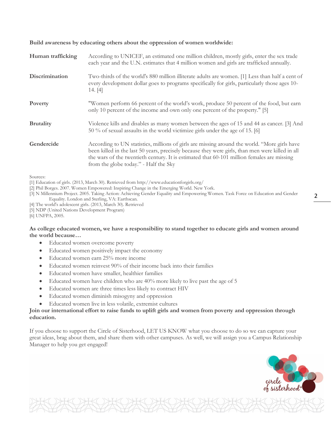**Build awareness by educating others about the oppression of women worldwide:**

| Human trafficking | According to UNICEF, an estimated one million children, mostly girls, enter the sex trade<br>each year and the U.N. estimates that 4 million women and girls are trafficked annually.                                                                                                                                                   |
|-------------------|-----------------------------------------------------------------------------------------------------------------------------------------------------------------------------------------------------------------------------------------------------------------------------------------------------------------------------------------|
| Discrimination    | Two-thirds of the world's 880 million illiterate adults are women. [1] Less than half a cent of<br>every development dollar goes to programs specifically for girls, particularly those ages 10-<br>14. [4]                                                                                                                             |
| Poverty           | "Women perform 66 percent of the world's work, produce 50 percent of the food, but earn<br>only 10 percent of the income and own only one percent of the property." [5]                                                                                                                                                                 |
| <b>Brutality</b>  | Violence kills and disables as many women between the ages of 15 and 44 as cancer. [3] And<br>50 % of sexual assaults in the world victimize girls under the age of 15. [6]                                                                                                                                                             |
| Gendercide        | According to UN statistics, millions of girls are missing around the world. "More girls have<br>been killed in the last 50 years, precisely because they were girls, than men were killed in all<br>the wars of the twentieth century. It is estimated that 60-101 million females are missing<br>from the globe today." - Half the Sky |

Sources:

[1] Education of girls. (2013, March 30). Retrieved from http://www.educationforgirls.org/

[2] Phil Borges. 2007. Women Empowered: Inspiring Change in the Emerging World. New York.

[3] N Millennium Project. 2005. Taking Action: Achieving Gender Equality and Empowering Women. Task Force on Education and Gender Equality. London and Sterling, VA: Earthscan.

- [4] The world's adolescent girls. (2013, March 30). Retrieved
- [5] NDP (United Nations Development Program)

[6] UNFPA, 2005.

#### **As college educated women, we have a responsibility to stand together to educate girls and women around the world because…**

- Educated women overcome poverty
- Educated women positively impact the economy
- Educated women earn 25% more income
- Educated women reinvest 90% of their income back into their families
- Educated women have smaller, healthier families
- Educated women have children who are 40% more likely to live past the age of 5
- Educated women are three times less likely to contract HIV
- Educated women diminish misogyny and oppression
- Educated women live in less volatile, extremist cultures

## **Join our international effort to raise funds to uplift girls and women from poverty and oppression through education.**

If you choose to support the Circle of Sisterhood, LET US KNOW what you choose to do so we can capture your great ideas, brag about them, and share them with other campuses. As well, we will assign you a Campus Relationship Manager to help you get engaged!